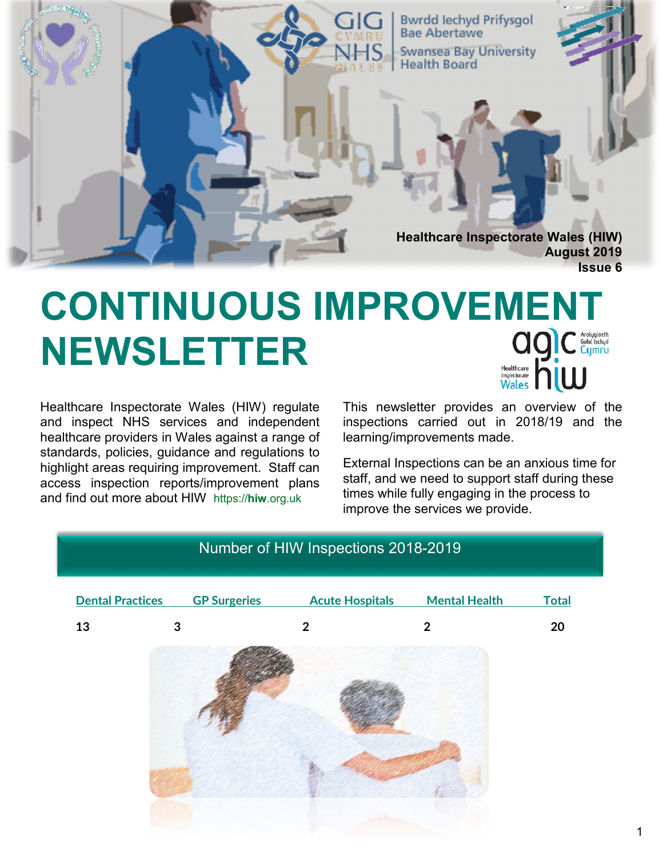

# **CONTINUOUS IMPROVEMENT and C** Arclygiaeth **NEWSLETTER** Healthcare

Healthcare Inspectorate Wales (HIW) regulate and inspect NHS services and independent healthcare providers in Wales against a range of standards, policies, guidance and regulations to highlight areas requiring improvement. Staff can access inspection reports/improvement plans and find out more about HIW https://**hiw**.org.uk

This newsletter provides an overview of the inspections carried out in 2018/19 and the learning/improvements made.

External Inspections can be an anxious time for staff, and we need to support staff during these times while fully engaging in the process to improve the services we provide.

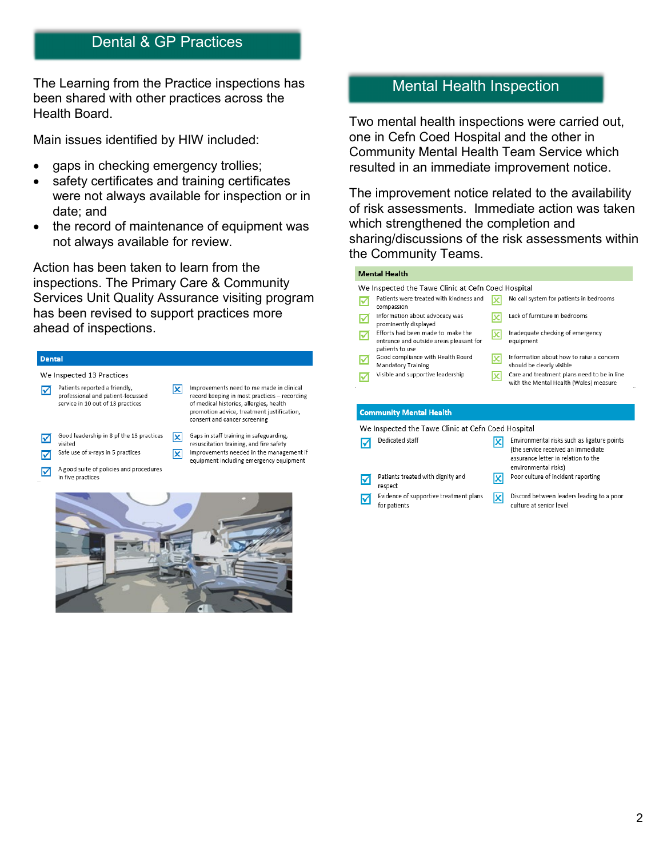# Dental & GP Practices

The Learning from the Practice inspections has been shared with other practices across the Health Board.

Main issues identified by HIW included:

- gaps in checking emergency trollies;
- safety certificates and training certificates were not always available for inspection or in date; and
- the record of maintenance of equipment was not always available for review.

Action has been taken to learn from the inspections. The Primary Care & Community Services Unit Quality Assurance visiting program has been revised to support practices more ahead of inspections.

# **Are checks for equipment, safety certificates,**

☑

#### **We Inspected 13 Practices**



of medical histories, allergies, health promotion advice, treatment justification, consent and cancer screening

Improvements needed in the management if

- Gaps in staff training in safeguarding, 冈 resuscitation training, and fire safety
- Safe use of x-rays in 5 practices ☑

in five practices

equipment including emergency equipment A good suite of policies and procedures

図



# Mental Health Inspection

Two mental health inspections were carried out, one in Cefn Coed Hospital and the other in Community Mental Health Team Service which resulted in an immediate improvement notice.

The improvement notice related to the availability of risk assessments. Immediate action was taken which strengthened the completion and sharing/discussions of the risk assessments within the Community Teams.

### $\mathbf{r}$  and  $\mathbf{r}$  and  $\mathbf{r}$

| Mental Health                                                                                   |                                                                                                                                                       |
|-------------------------------------------------------------------------------------------------|-------------------------------------------------------------------------------------------------------------------------------------------------------|
| We Inspected the Tawe Clinic at Cefn Coed Hospital                                              |                                                                                                                                                       |
| Patients were treated with kindness and<br>compassion                                           | No call system for patients in bedrooms                                                                                                               |
| Information about advocacy was<br>prominently displayed                                         | Lack of furniture in bedrooms                                                                                                                         |
| Efforts had been made to make the<br>entrance and outside areas pleasant for<br>patients to use | Inadequate checking of emergency<br>x<br>equipment                                                                                                    |
| Good compliance with Health Board<br>Mandatory Training                                         | Information about how to raise a concern<br>x<br>should be clearly visible                                                                            |
| Visible and supportive leadership                                                               | Care and treatment plans need to be in line<br>x<br>with the Mental Health (Wales) measure                                                            |
| <b>Community Mental Health</b>                                                                  |                                                                                                                                                       |
| We Inspected the Tawe Clinic at Cefn Coed Hospital                                              |                                                                                                                                                       |
| Dedicated staff                                                                                 | Environmental risks such as ligature points<br>x<br>(the service received an immediate<br>assurance letter in relation to the<br>environmental risks) |
| Patients treated with dignity and<br>M                                                          | Poor culture of incident reporting<br>x                                                                                                               |

respect Evidence of supportive treatment plans ☑ for patients

Discord between leaders leading to a poor 図 culture at senior level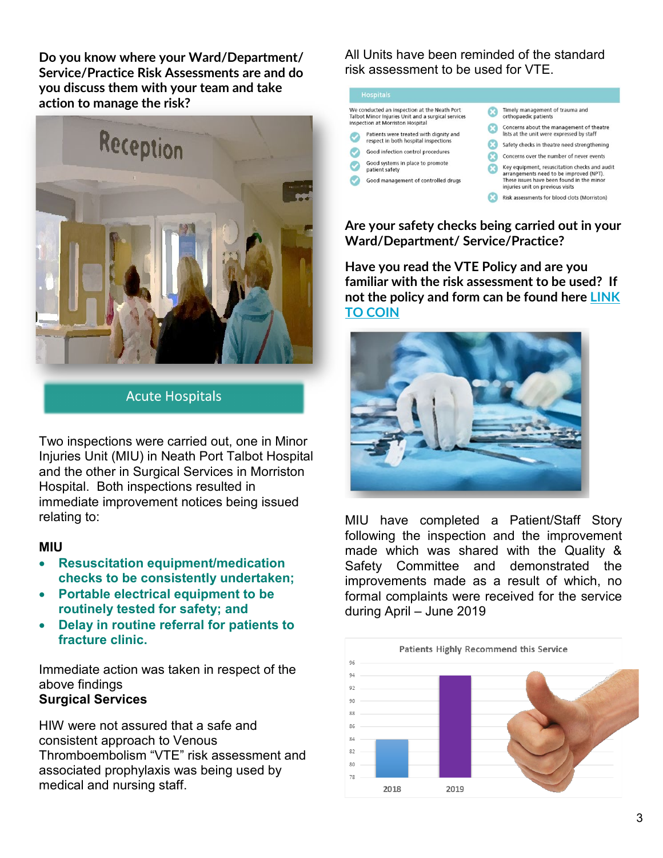**Do you know where your Ward/Department/ Service/Practice Risk Assessments are and do you discuss them with your team and take action to manage the risk?**



**Acute Hospitals** 

Two inspections were carried out, one in Minor Injuries Unit (MIU) in Neath Port Talbot Hospital and the other in Surgical Services in Morriston Hospital. Both inspections resulted in immediate improvement notices being issued relating to:

#### **MIU**

- **Resuscitation equipment/medication checks to be consistently undertaken;**
- **Portable electrical equipment to be routinely tested for safety; and**
- **Delay in routine referral for patients to fracture clinic.**

Immediate action was taken in respect of the above findings

# **Surgical Services**

HIW were not assured that a safe and consistent approach to Venous Thromboembolism "VTE" risk assessment and associated prophylaxis was being used by medical and nursing staff.

All Units have been reminded of the standard risk assessment to be used for VTE.

| We conducted an inspection at the Neath Port<br>Talbot Minor Injuries Unit and a surgical services<br>inspection at Morriston Hospital<br>Patients were treated with dignity and<br>respect in both hospital inspections<br>Good infection control procedures | Timely management of trauma and<br>orthopaedic patients                                                                                                                          |
|---------------------------------------------------------------------------------------------------------------------------------------------------------------------------------------------------------------------------------------------------------------|----------------------------------------------------------------------------------------------------------------------------------------------------------------------------------|
|                                                                                                                                                                                                                                                               | Concerns about the management of theatre<br>lists at the unit were expressed by staff<br>Safety checks in theatre need strengthening<br>Concerns over the number of never events |
| Good systems in place to promote<br>patient safety<br>Good management of controlled drugs                                                                                                                                                                     | Key equipment, resuscitation checks and audit<br>arrangements need to be improved (NPT).<br>These issues have been found in the minor<br>injuries unit on previous visits        |
|                                                                                                                                                                                                                                                               | Risk assessments for blood clots (Morriston)                                                                                                                                     |

**Are your safety checks being carried out in your Ward/Department/ Service/Practice?**

**Have you read the VTE Policy and are you familiar with the risk assessment to be used? If not the policy and form can be found here [LINK](http://howis.wales.nhs.uk/sites3/search.cfm?searchtext=vte&orgid=926)  [TO COIN](http://howis.wales.nhs.uk/sites3/search.cfm?searchtext=vte&orgid=926)**



MIU have completed a Patient/Staff Story following the inspection and the improvement made which was shared with the Quality & Safety Committee and demonstrated the improvements made as a result of which, no formal complaints were received for the service during April – June 2019